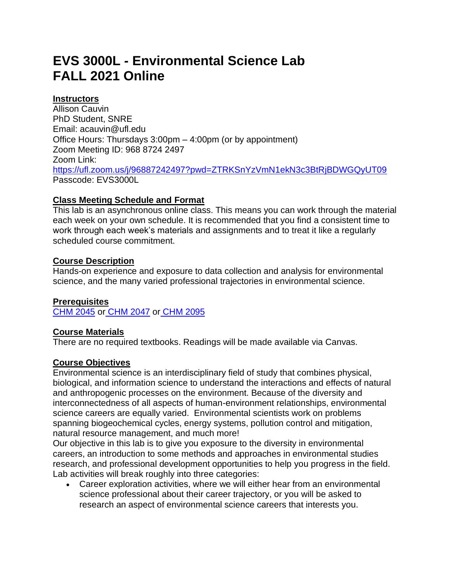# **EVS 3000L** *-* **Environmental Science Lab FALL 2021 Online**

# **Instructors**

Allison Cauvin PhD Student, SNRE Email: acauvin@ufl.edu Office Hours: Thursdays 3:00pm – 4:00pm (or by appointment) Zoom Meeting ID: 968 8724 2497 Zoom Link: <https://ufl.zoom.us/j/96887242497?pwd=ZTRKSnYzVmN1ekN3c3BtRjBDWGQyUT09> Passcode: EVS3000L

## **Class Meeting Schedule and Format**

This lab is an asynchronous online class. This means you can work through the material each week on your own schedule. It is recommended that you find a consistent time to work through each week's materials and assignments and to treat it like a regularly scheduled course commitment.

## **Course Description**

Hands-on experience and exposure to data collection and analysis for environmental science, and the many varied professional trajectories in environmental science.

## **Prerequisites**

[CHM 2045](https://catalog.ufl.edu/search/?P=CHM%202045) or [CHM 2047](https://catalog.ufl.edu/search/?P=CHM%202047) or [CHM 2095](https://catalog.ufl.edu/search/?P=CHM%202095)

## **Course Materials**

There are no required textbooks. Readings will be made available via Canvas.

#### **Course Objectives**

Environmental science is an interdisciplinary field of study that combines physical, biological, and information science to understand the interactions and effects of natural and anthropogenic processes on the environment. Because of the diversity and interconnectedness of all aspects of human-environment relationships, environmental science careers are equally varied. Environmental scientists work on problems spanning biogeochemical cycles, energy systems, pollution control and mitigation, natural resource management, and much more!

Our objective in this lab is to give you exposure to the diversity in environmental careers, an introduction to some methods and approaches in environmental studies research, and professional development opportunities to help you progress in the field. Lab activities will break roughly into three categories:

• Career exploration activities, where we will either hear from an environmental science professional about their career trajectory, or you will be asked to research an aspect of environmental science careers that interests you.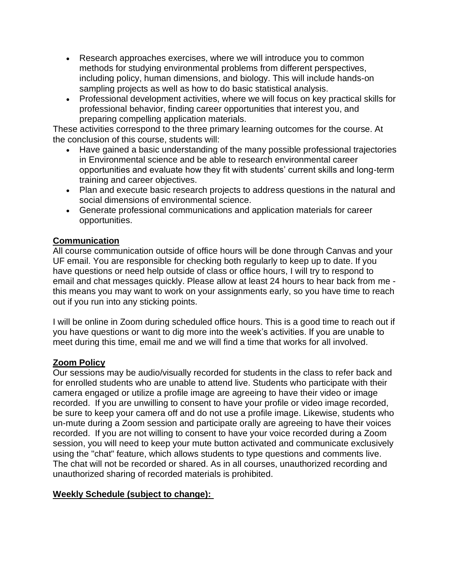- Research approaches exercises, where we will introduce you to common methods for studying environmental problems from different perspectives, including policy, human dimensions, and biology. This will include hands-on sampling projects as well as how to do basic statistical analysis.
- Professional development activities, where we will focus on key practical skills for professional behavior, finding career opportunities that interest you, and preparing compelling application materials.

These activities correspond to the three primary learning outcomes for the course. At the conclusion of this course, students will:

- Have gained a basic understanding of the many possible professional trajectories in Environmental science and be able to research environmental career opportunities and evaluate how they fit with students' current skills and long-term training and career objectives.
- Plan and execute basic research projects to address questions in the natural and social dimensions of environmental science.
- Generate professional communications and application materials for career opportunities.

# **Communication**

All course communication outside of office hours will be done through Canvas and your UF email. You are responsible for checking both regularly to keep up to date. If you have questions or need help outside of class or office hours, I will try to respond to email and chat messages quickly. Please allow at least 24 hours to hear back from me this means you may want to work on your assignments early, so you have time to reach out if you run into any sticking points.

I will be online in Zoom during scheduled office hours. This is a good time to reach out if you have questions or want to dig more into the week's activities. If you are unable to meet during this time, email me and we will find a time that works for all involved.

## **Zoom Policy**

Our sessions may be audio/visually recorded for students in the class to refer back and for enrolled students who are unable to attend live. Students who participate with their camera engaged or utilize a profile image are agreeing to have their video or image recorded. If you are unwilling to consent to have your profile or video image recorded, be sure to keep your camera off and do not use a profile image. Likewise, students who un-mute during a Zoom session and participate orally are agreeing to have their voices recorded. If you are not willing to consent to have your voice recorded during a Zoom session, you will need to keep your mute button activated and communicate exclusively using the "chat" feature, which allows students to type questions and comments live. The chat will not be recorded or shared. As in all courses, unauthorized recording and unauthorized sharing of recorded materials is prohibited.

## **Weekly Schedule (subject to change):**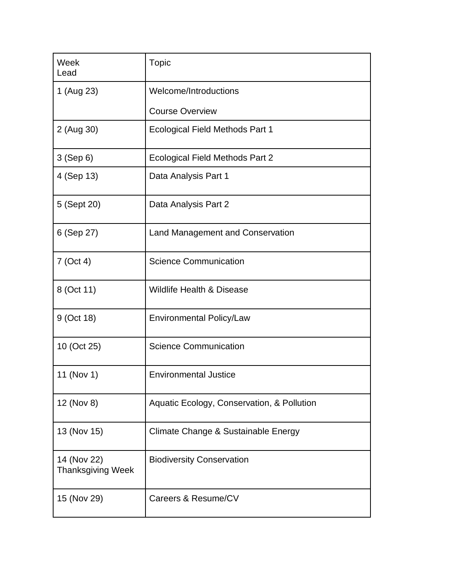| Week<br>Lead                            | Topic                                      |  |  |  |  |  |
|-----------------------------------------|--------------------------------------------|--|--|--|--|--|
| 1 (Aug 23)                              | Welcome/Introductions                      |  |  |  |  |  |
|                                         | <b>Course Overview</b>                     |  |  |  |  |  |
| 2 (Aug 30)                              | <b>Ecological Field Methods Part 1</b>     |  |  |  |  |  |
| 3 (Sep 6)                               | <b>Ecological Field Methods Part 2</b>     |  |  |  |  |  |
| 4 (Sep 13)                              | Data Analysis Part 1                       |  |  |  |  |  |
| 5 (Sept 20)                             | Data Analysis Part 2                       |  |  |  |  |  |
| 6 (Sep 27)                              | Land Management and Conservation           |  |  |  |  |  |
| $7$ (Oct 4)                             | <b>Science Communication</b>               |  |  |  |  |  |
| 8 (Oct 11)                              | <b>Wildlife Health &amp; Disease</b>       |  |  |  |  |  |
| 9 (Oct 18)                              | <b>Environmental Policy/Law</b>            |  |  |  |  |  |
| 10 (Oct 25)                             | <b>Science Communication</b>               |  |  |  |  |  |
| 11 (Nov 1)                              | <b>Environmental Justice</b>               |  |  |  |  |  |
| 12 (Nov 8)                              | Aquatic Ecology, Conservation, & Pollution |  |  |  |  |  |
| 13 (Nov 15)                             | Climate Change & Sustainable Energy        |  |  |  |  |  |
| 14 (Nov 22)<br><b>Thanksgiving Week</b> | <b>Biodiversity Conservation</b>           |  |  |  |  |  |
| 15 (Nov 29)                             | Careers & Resume/CV                        |  |  |  |  |  |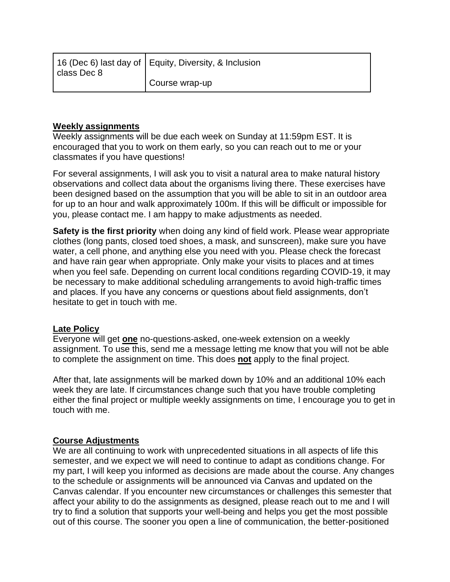| class Dec 8 | 16 (Dec 6) last day of   Equity, Diversity, & Inclusion |
|-------------|---------------------------------------------------------|
|             | Course wrap-up                                          |

#### **Weekly assignments**

Weekly assignments will be due each week on Sunday at 11:59pm EST. It is encouraged that you to work on them early, so you can reach out to me or your classmates if you have questions!

For several assignments, I will ask you to visit a natural area to make natural history observations and collect data about the organisms living there. These exercises have been designed based on the assumption that you will be able to sit in an outdoor area for up to an hour and walk approximately 100m. If this will be difficult or impossible for you, please contact me. I am happy to make adjustments as needed.

**Safety is the first priority** when doing any kind of field work. Please wear appropriate clothes (long pants, closed toed shoes, a mask, and sunscreen), make sure you have water, a cell phone, and anything else you need with you. Please check the forecast and have rain gear when appropriate. Only make your visits to places and at times when you feel safe. Depending on current local conditions regarding COVID-19, it may be necessary to make additional scheduling arrangements to avoid high-traffic times and places. If you have any concerns or questions about field assignments, don't hesitate to get in touch with me.

## **Late Policy**

Everyone will get **one** no-questions-asked, one-week extension on a weekly assignment. To use this, send me a message letting me know that you will not be able to complete the assignment on time. This does **not** apply to the final project.

After that, late assignments will be marked down by 10% and an additional 10% each week they are late. If circumstances change such that you have trouble completing either the final project or multiple weekly assignments on time, I encourage you to get in touch with me.

#### **Course Adjustments**

We are all continuing to work with unprecedented situations in all aspects of life this semester, and we expect we will need to continue to adapt as conditions change. For my part, I will keep you informed as decisions are made about the course. Any changes to the schedule or assignments will be announced via Canvas and updated on the Canvas calendar. If you encounter new circumstances or challenges this semester that affect your ability to do the assignments as designed, please reach out to me and I will try to find a solution that supports your well-being and helps you get the most possible out of this course. The sooner you open a line of communication, the better-positioned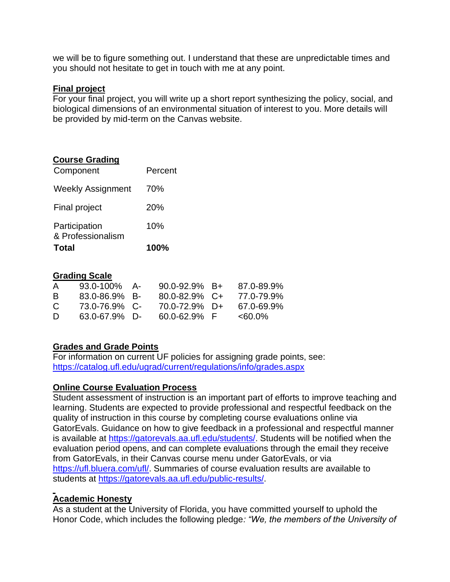we will be to figure something out. I understand that these are unpredictable times and you should not hesitate to get in touch with me at any point.

#### **Final project**

For your final project, you will write up a short report synthesizing the policy, social, and biological dimensions of an environmental situation of interest to you. More details will be provided by mid-term on the Canvas website.

## **Course Grading**

| <b>Total</b>                       | <b>100%</b> |  |  |
|------------------------------------|-------------|--|--|
| Participation<br>& Professionalism | 10%         |  |  |
| <b>Final project</b>               | <b>20%</b>  |  |  |
| <b>Weekly Assignment</b>           | 70%         |  |  |
| Component                          | Percent     |  |  |

#### **Grading Scale**

| $\mathsf{A}$ | 93.0-100%          | - A- | $90.0 - 92.9% \quad B +$ | 87.0-89.9% |
|--------------|--------------------|------|--------------------------|------------|
| B.           | $83.0 - 86.9\%$ B- |      | $80.0 - 82.9%$ C+        | 77.0-79.9% |
| C.           | 73.0-76.9% C-      |      | 70.0-72.9% D+            | 67.0-69.9% |
| D            | $63.0 - 67.9\%$ D- |      | $60.0 - 62.9\%$ F        | $<60.0\%$  |

## **Grades and Grade Points**

For information on current UF policies for assigning grade points, see[:](https://catalog.ufl.edu/ugrad/current/regulations/info/grades.aspx) <https://catalog.ufl.edu/ugrad/current/regulations/info/grades.aspx>

## **Online Course Evaluation Process**

Student assessment of instruction is an important part of efforts to improve teaching and learning. Students are expected to provide professional and respectful feedback on the quality of instruction in this course by completing course evaluations online via GatorEvals. Guidance on how to give feedback in a professional and respectful manner is available at [https://gatorevals.aa.ufl.edu/students/.](https://gatorevals.aa.ufl.edu/students/) Students will be notified when the evaluation period opens, and can complete evaluations through the email they receive from GatorEvals, in their Canvas course menu under GatorEvals, or via [https://ufl.bluera.com/ufl/.](https://urldefense.proofpoint.com/v2/url?u=https-3A__ufl.bluera.com_ufl_&d=DwMFAg&c=sJ6xIWYx-zLMB3EPkvcnVg&r=y2HjEMjRMHJhfdvLrqJZlYczRsfp5e4TfQjHuc5rVHg&m=WXko6OK_Ha6T00ZVAsEaSh99qRXHOgMNFRywCoehRho&s=itVU46DDJjnIg4CW6efJOOLgPjdzsPvCghyfzJoFONs&e=) Summaries of course evaluation results are available to students at [https://gatorevals.aa.ufl.edu/public-results/.](https://gatorevals.aa.ufl.edu/public-results/)

## **Academic Honesty**

As a student at the University of Florida, you have committed yourself to uphold the Honor Code, which includes the following pledge*: "We, the members of the University of*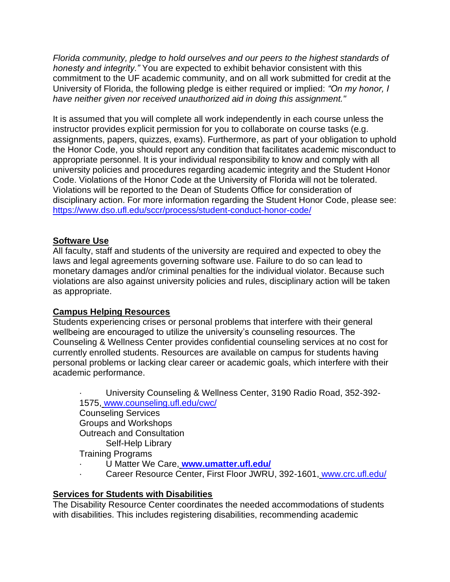*Florida community, pledge to hold ourselves and our peers to the highest standards of honesty and integrity."* You are expected to exhibit behavior consistent with this commitment to the UF academic community, and on all work submitted for credit at the University of Florida, the following pledge is either required or implied: *"On my honor, I have neither given nor received unauthorized aid in doing this assignment."*

It is assumed that you will complete all work independently in each course unless the instructor provides explicit permission for you to collaborate on course tasks (e.g. assignments, papers, quizzes, exams). Furthermore, as part of your obligation to uphold the Honor Code, you should report any condition that facilitates academic misconduct to appropriate personnel. It is your individual responsibility to know and comply with all university policies and procedures regarding academic integrity and the Student Honor Code. Violations of the Honor Code at the University of Florida will not be tolerated. Violations will be reported to the Dean of Students Office for consideration of disciplinary action. For more information regarding the Student Honor Code, please see[:](https://www.dso.ufl.edu/sccr/process/student-conduct-honor-code/) <https://www.dso.ufl.edu/sccr/process/student-conduct-honor-code/>

## **Software Use**

All faculty, staff and students of the university are required and expected to obey the laws and legal agreements governing software use. Failure to do so can lead to monetary damages and/or criminal penalties for the individual violator. Because such violations are also against university policies and rules, disciplinary action will be taken as appropriate.

#### **Campus Helping Resources**

Students experiencing crises or personal problems that interfere with their general wellbeing are encouraged to utilize the university's counseling resources. The Counseling & Wellness Center provides confidential counseling services at no cost for currently enrolled students. Resources are available on campus for students having personal problems or lacking clear career or academic goals, which interfere with their academic performance.

· University Counseling & Wellness Center, 3190 Radio Road, 352-392- 1575, [www.counseling.ufl.edu/cwc/](http://www.counseling.ufl.edu/cwc/) Counseling Services Groups and Workshops Outreach and Consultation Self-Help Library Training Programs

- · U Matter We Care, **[www.umatter.ufl.edu/](http://www.umatter.ufl.edu/)**
- · Career Resource Center, First Floor JWRU, 392-1601, [www.crc.ufl.edu/](http://www.crc.ufl.edu/)

## **Services for Students with Disabilities**

The Disability Resource Center coordinates the needed accommodations of students with disabilities. This includes registering disabilities, recommending academic